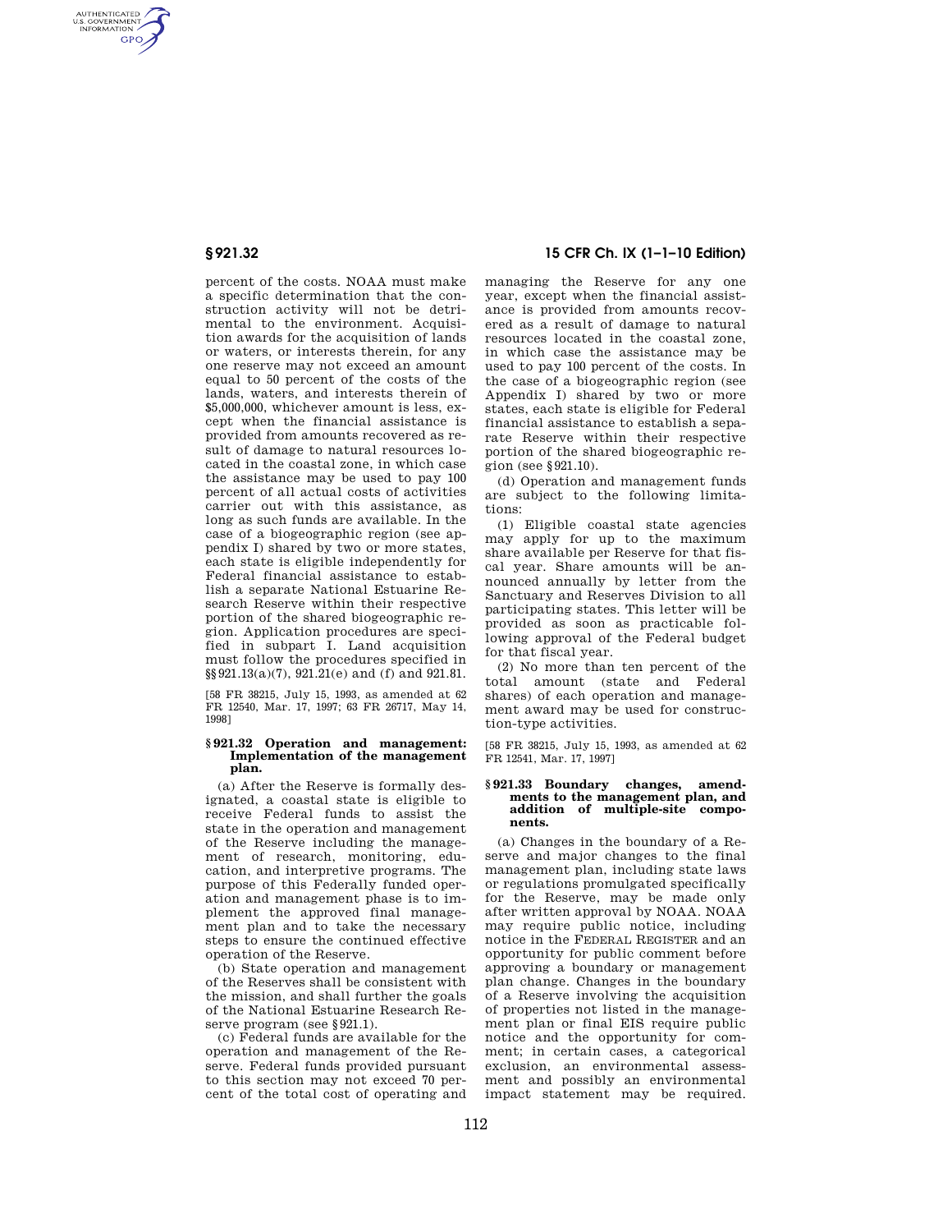AUTHENTICATED<br>U.S. GOVERNMENT<br>INFORMATION **GPO** 

> percent of the costs. NOAA must make a specific determination that the construction activity will not be detrimental to the environment. Acquisition awards for the acquisition of lands or waters, or interests therein, for any one reserve may not exceed an amount equal to 50 percent of the costs of the lands, waters, and interests therein of \$5,000,000, whichever amount is less, except when the financial assistance is provided from amounts recovered as result of damage to natural resources located in the coastal zone, in which case the assistance may be used to pay 100 percent of all actual costs of activities carrier out with this assistance, as long as such funds are available. In the case of a biogeographic region (see appendix I) shared by two or more states each state is eligible independently for Federal financial assistance to establish a separate National Estuarine Research Reserve within their respective portion of the shared biogeographic region. Application procedures are specified in subpart I. Land acquisition must follow the procedures specified in §§921.13(a)(7), 921.21(e) and (f) and 921.81.

> [58 FR 38215, July 15, 1993, as amended at 62 FR 12540, Mar. 17, 1997; 63 FR 26717, May 14, 1998]

### **§ 921.32 Operation and management: Implementation of the management plan.**

(a) After the Reserve is formally designated, a coastal state is eligible to receive Federal funds to assist the state in the operation and management of the Reserve including the management of research, monitoring, education, and interpretive programs. The purpose of this Federally funded operation and management phase is to implement the approved final management plan and to take the necessary steps to ensure the continued effective operation of the Reserve.

(b) State operation and management of the Reserves shall be consistent with the mission, and shall further the goals of the National Estuarine Research Reserve program (see §921.1).

(c) Federal funds are available for the operation and management of the Reserve. Federal funds provided pursuant to this section may not exceed 70 percent of the total cost of operating and

# **§ 921.32 15 CFR Ch. IX (1–1–10 Edition)**

managing the Reserve for any one year, except when the financial assistance is provided from amounts recovered as a result of damage to natural resources located in the coastal zone, in which case the assistance may be used to pay 100 percent of the costs. In the case of a biogeographic region (see Appendix I) shared by two or more states, each state is eligible for Federal financial assistance to establish a separate Reserve within their respective portion of the shared biogeographic region (see §921.10).

(d) Operation and management funds are subject to the following limitations:

(1) Eligible coastal state agencies may apply for up to the maximum share available per Reserve for that fiscal year. Share amounts will be announced annually by letter from the Sanctuary and Reserves Division to all participating states. This letter will be provided as soon as practicable following approval of the Federal budget for that fiscal year.

(2) No more than ten percent of the total amount (state and Federal shares) of each operation and management award may be used for construction-type activities.

[58 FR 38215, July 15, 1993, as amended at 62 FR 12541, Mar. 17, 1997]

### **§ 921.33 Boundary changes, amendments to the management plan, and addition of multiple-site components.**

(a) Changes in the boundary of a Reserve and major changes to the final management plan, including state laws or regulations promulgated specifically for the Reserve, may be made only after written approval by NOAA. NOAA may require public notice, including notice in the FEDERAL REGISTER and an opportunity for public comment before approving a boundary or management plan change. Changes in the boundary of a Reserve involving the acquisition of properties not listed in the management plan or final EIS require public notice and the opportunity for comment; in certain cases, a categorical exclusion, an environmental assessment and possibly an environmental impact statement may be required.